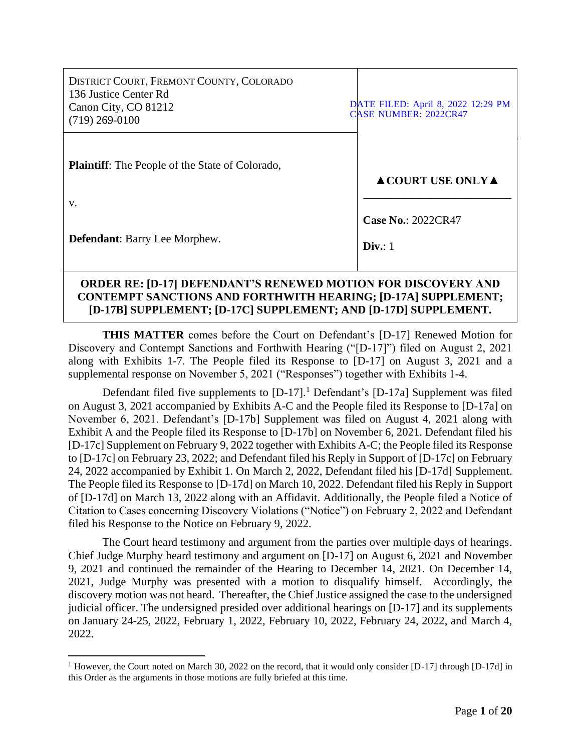| DISTRICT COURT, FREMONT COUNTY, COLORADO<br>136 Justice Center Rd<br>Canon City, CO 81212<br>$(719)$ 269-0100 |  | DATE FILED: April 8, 2022 12:29 PM<br><b>CASE NUMBER: 2022CR47</b> |
|---------------------------------------------------------------------------------------------------------------|--|--------------------------------------------------------------------|
| <b>Plaintiff:</b> The People of the State of Colorado,                                                        |  | $\triangle$ COURT USE ONLY $\triangle$                             |
| V.                                                                                                            |  |                                                                    |
| <b>Defendant:</b> Barry Lee Morphew.                                                                          |  | <b>Case No.: 2022CR47</b><br>Div. 1                                |
| ADDED DE. IN 171 NEEEND ANT'S DENEWEN MATIAN EAD NISCAVEDV ANN                                                |  |                                                                    |

# **ORDER RE: [D-17] DEFENDANT'S RENEWED MOTION FOR DISCOVERY AND CONTEMPT SANCTIONS AND FORTHWITH HEARING; [D-17A] SUPPLEMENT; [D-17B] SUPPLEMENT; [D-17C] SUPPLEMENT; AND [D-17D] SUPPLEMENT.**

**THIS MATTER** comes before the Court on Defendant's [D-17] Renewed Motion for Discovery and Contempt Sanctions and Forthwith Hearing ("[D-17]") filed on August 2, 2021 along with Exhibits 1-7. The People filed its Response to [D-17] on August 3, 2021 and a supplemental response on November 5, 2021 ("Responses") together with Exhibits 1-4.

Defendant filed five supplements to  $[D-17]$ .<sup>1</sup> Defendant's  $[D-17a]$  Supplement was filed on August 3, 2021 accompanied by Exhibits A-C and the People filed its Response to [D-17a] on November 6, 2021. Defendant's [D-17b] Supplement was filed on August 4, 2021 along with Exhibit A and the People filed its Response to [D-17b] on November 6, 2021. Defendant filed his [D-17c] Supplement on February 9, 2022 together with Exhibits A-C; the People filed its Response to [D-17c] on February 23, 2022; and Defendant filed his Reply in Support of [D-17c] on February 24, 2022 accompanied by Exhibit 1. On March 2, 2022, Defendant filed his [D-17d] Supplement. The People filed its Response to [D-17d] on March 10, 2022. Defendant filed his Reply in Support of [D-17d] on March 13, 2022 along with an Affidavit. Additionally, the People filed a Notice of Citation to Cases concerning Discovery Violations ("Notice") on February 2, 2022 and Defendant filed his Response to the Notice on February 9, 2022.

The Court heard testimony and argument from the parties over multiple days of hearings. Chief Judge Murphy heard testimony and argument on [D-17] on August 6, 2021 and November 9, 2021 and continued the remainder of the Hearing to December 14, 2021. On December 14, 2021, Judge Murphy was presented with a motion to disqualify himself. Accordingly, the discovery motion was not heard. Thereafter, the Chief Justice assigned the case to the undersigned judicial officer. The undersigned presided over additional hearings on [D-17] and its supplements on January 24-25, 2022, February 1, 2022, February 10, 2022, February 24, 2022, and March 4, 2022.

<sup>&</sup>lt;sup>1</sup> However, the Court noted on March 30, 2022 on the record, that it would only consider [D-17] through [D-17d] in this Order as the arguments in those motions are fully briefed at this time.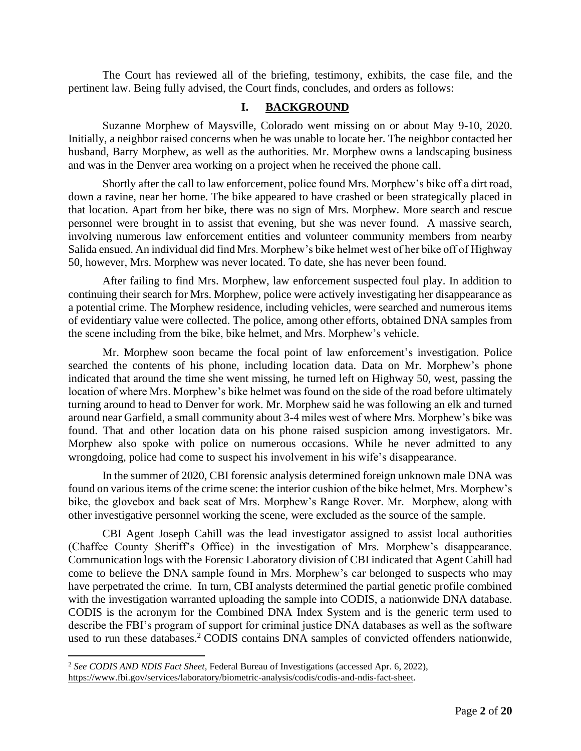The Court has reviewed all of the briefing, testimony, exhibits, the case file, and the pertinent law. Being fully advised, the Court finds, concludes, and orders as follows:

#### **I. BACKGROUND**

Suzanne Morphew of Maysville, Colorado went missing on or about May 9-10, 2020. Initially, a neighbor raised concerns when he was unable to locate her. The neighbor contacted her husband, Barry Morphew, as well as the authorities. Mr. Morphew owns a landscaping business and was in the Denver area working on a project when he received the phone call.

Shortly after the call to law enforcement, police found Mrs. Morphew's bike off a dirt road, down a ravine, near her home. The bike appeared to have crashed or been strategically placed in that location. Apart from her bike, there was no sign of Mrs. Morphew. More search and rescue personnel were brought in to assist that evening, but she was never found. A massive search, involving numerous law enforcement entities and volunteer community members from nearby Salida ensued. An individual did find Mrs. Morphew's bike helmet west of her bike off of Highway 50, however, Mrs. Morphew was never located. To date, she has never been found.

After failing to find Mrs. Morphew, law enforcement suspected foul play. In addition to continuing their search for Mrs. Morphew, police were actively investigating her disappearance as a potential crime. The Morphew residence, including vehicles, were searched and numerous items of evidentiary value were collected. The police, among other efforts, obtained DNA samples from the scene including from the bike, bike helmet, and Mrs. Morphew's vehicle.

Mr. Morphew soon became the focal point of law enforcement's investigation. Police searched the contents of his phone, including location data. Data on Mr. Morphew's phone indicated that around the time she went missing, he turned left on Highway 50, west, passing the location of where Mrs. Morphew's bike helmet was found on the side of the road before ultimately turning around to head to Denver for work. Mr. Morphew said he was following an elk and turned around near Garfield, a small community about 3-4 miles west of where Mrs. Morphew's bike was found. That and other location data on his phone raised suspicion among investigators. Mr. Morphew also spoke with police on numerous occasions. While he never admitted to any wrongdoing, police had come to suspect his involvement in his wife's disappearance.

In the summer of 2020, CBI forensic analysis determined foreign unknown male DNA was found on various items of the crime scene: the interior cushion of the bike helmet, Mrs. Morphew's bike, the glovebox and back seat of Mrs. Morphew's Range Rover. Mr. Morphew, along with other investigative personnel working the scene, were excluded as the source of the sample.

CBI Agent Joseph Cahill was the lead investigator assigned to assist local authorities (Chaffee County Sheriff's Office) in the investigation of Mrs. Morphew's disappearance. Communication logs with the Forensic Laboratory division of CBI indicated that Agent Cahill had come to believe the DNA sample found in Mrs. Morphew's car belonged to suspects who may have perpetrated the crime. In turn, CBI analysts determined the partial genetic profile combined with the investigation warranted uploading the sample into CODIS, a nationwide DNA database. CODIS is the acronym for the Combined DNA Index System and is the generic term used to describe the FBI's program of support for criminal justice DNA databases as well as the software used to run these databases.<sup>2</sup> CODIS contains DNA samples of convicted offenders nationwide,

<sup>2</sup> *See CODIS AND NDIS Fact Sheet*, Federal Bureau of Investigations (accessed Apr. 6, 2022), [https://www.fbi.gov/services/laboratory/biometric-analysis/codis/codis-and-ndis-fact-sheet.](https://www.fbi.gov/services/laboratory/biometric-analysis/codis/codis-and-ndis-fact-sheet)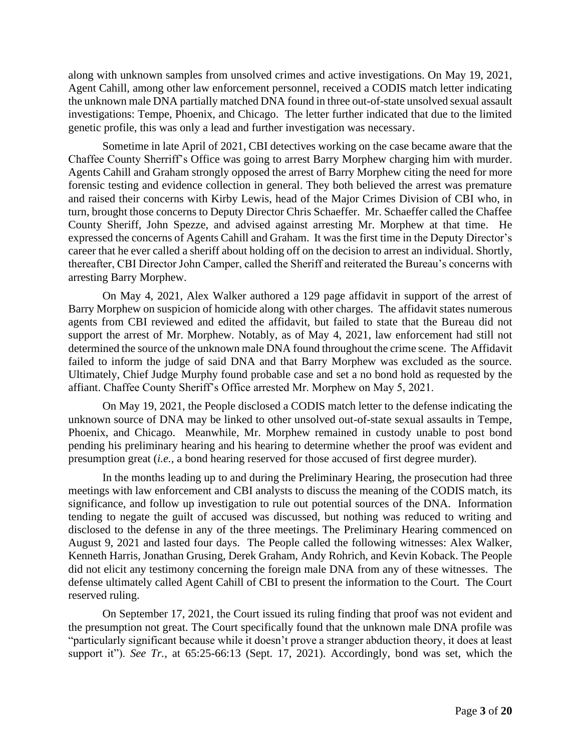along with unknown samples from unsolved crimes and active investigations. On May 19, 2021, Agent Cahill, among other law enforcement personnel, received a CODIS match letter indicating the unknown male DNA partially matched DNA found in three out-of-state unsolved sexual assault investigations: Tempe, Phoenix, and Chicago. The letter further indicated that due to the limited genetic profile, this was only a lead and further investigation was necessary.

Sometime in late April of 2021, CBI detectives working on the case became aware that the Chaffee County Sherriff's Office was going to arrest Barry Morphew charging him with murder. Agents Cahill and Graham strongly opposed the arrest of Barry Morphew citing the need for more forensic testing and evidence collection in general. They both believed the arrest was premature and raised their concerns with Kirby Lewis, head of the Major Crimes Division of CBI who, in turn, brought those concerns to Deputy Director Chris Schaeffer. Mr. Schaeffer called the Chaffee County Sheriff, John Spezze, and advised against arresting Mr. Morphew at that time. He expressed the concerns of Agents Cahill and Graham. It was the first time in the Deputy Director's career that he ever called a sheriff about holding off on the decision to arrest an individual. Shortly, thereafter, CBI Director John Camper, called the Sheriff and reiterated the Bureau's concerns with arresting Barry Morphew.

On May 4, 2021, Alex Walker authored a 129 page affidavit in support of the arrest of Barry Morphew on suspicion of homicide along with other charges. The affidavit states numerous agents from CBI reviewed and edited the affidavit, but failed to state that the Bureau did not support the arrest of Mr. Morphew. Notably, as of May 4, 2021, law enforcement had still not determined the source of the unknown male DNA found throughout the crime scene. The Affidavit failed to inform the judge of said DNA and that Barry Morphew was excluded as the source. Ultimately, Chief Judge Murphy found probable case and set a no bond hold as requested by the affiant. Chaffee County Sheriff's Office arrested Mr. Morphew on May 5, 2021.

On May 19, 2021, the People disclosed a CODIS match letter to the defense indicating the unknown source of DNA may be linked to other unsolved out-of-state sexual assaults in Tempe, Phoenix, and Chicago. Meanwhile, Mr. Morphew remained in custody unable to post bond pending his preliminary hearing and his hearing to determine whether the proof was evident and presumption great (*i.e.*, a bond hearing reserved for those accused of first degree murder).

In the months leading up to and during the Preliminary Hearing, the prosecution had three meetings with law enforcement and CBI analysts to discuss the meaning of the CODIS match, its significance, and follow up investigation to rule out potential sources of the DNA. Information tending to negate the guilt of accused was discussed, but nothing was reduced to writing and disclosed to the defense in any of the three meetings. The Preliminary Hearing commenced on August 9, 2021 and lasted four days. The People called the following witnesses: Alex Walker, Kenneth Harris, Jonathan Grusing, Derek Graham, Andy Rohrich, and Kevin Koback. The People did not elicit any testimony concerning the foreign male DNA from any of these witnesses. The defense ultimately called Agent Cahill of CBI to present the information to the Court. The Court reserved ruling.

On September 17, 2021, the Court issued its ruling finding that proof was not evident and the presumption not great. The Court specifically found that the unknown male DNA profile was "particularly significant because while it doesn't prove a stranger abduction theory, it does at least support it"). *See Tr.,* at 65:25-66:13 (Sept. 17, 2021). Accordingly, bond was set, which the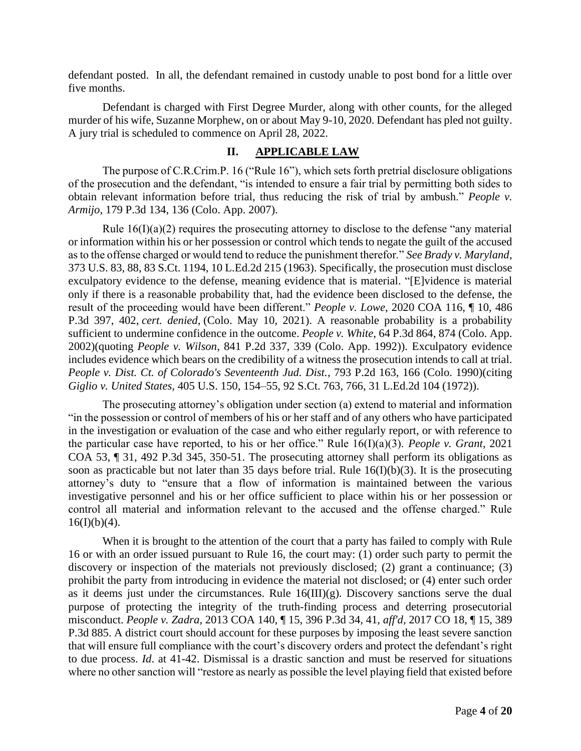defendant posted. In all, the defendant remained in custody unable to post bond for a little over five months.

Defendant is charged with First Degree Murder, along with other counts, for the alleged murder of his wife, Suzanne Morphew, on or about May 9-10, 2020. Defendant has pled not guilty. A jury trial is scheduled to commence on April 28, 2022.

# **II. APPLICABLE LAW**

The purpose of C.R.Crim.P. 16 ("Rule 16"), which sets forth pretrial disclosure obligations of the prosecution and the defendant, "is intended to ensure a fair trial by permitting both sides to obtain relevant information before trial, thus reducing the risk of trial by ambush." *People v. Armijo*, 179 P.3d 134, 136 (Colo. App. 2007).

Rule  $16(I)(a)(2)$  requires the prosecuting attorney to disclose to the defense "any material or information within his or her possession or control which tends to negate the guilt of the accused as to the offense charged or would tend to reduce the punishment therefor." *See Brady v. Maryland*, 373 U.S. 83, 88, 83 S.Ct. 1194, 10 L.Ed.2d 215 (1963). Specifically, the prosecution must disclose exculpatory evidence to the defense, meaning evidence that is material. "[E]vidence is material only if there is a reasonable probability that, had the evidence been disclosed to the defense, the result of the proceeding would have been different." *People v. Lowe*, 2020 COA 116, ¶ 10, 486 P.3d 397, 402, *cert. denied,* (Colo. May 10, 2021). A reasonable probability is a probability sufficient to undermine confidence in the outcome. *People v. White*, 64 P.3d 864, 874 (Colo. App. 2002)(quoting *People v. Wilson*, 841 P.2d 337, 339 (Colo. App. 1992)). Exculpatory evidence includes evidence which bears on the credibility of a witness the prosecution intends to call at trial. *People v. Dist. Ct. of Colorado's Seventeenth Jud. Dist.*, 793 P.2d 163, 166 (Colo. 1990)(citing *Giglio v. United States*, 405 U.S. 150, 154–55, 92 S.Ct. 763, 766, 31 L.Ed.2d 104 (1972)).

The prosecuting attorney's obligation under section (a) extend to material and information "in the possession or control of members of his or her staff and of any others who have participated in the investigation or evaluation of the case and who either regularly report, or with reference to the particular case have reported, to his or her office." Rule 16(I)(a)(3). *People v. Grant*, 2021 COA 53, ¶ 31, 492 P.3d 345, 350-51. The prosecuting attorney shall perform its obligations as soon as practicable but not later than 35 days before trial. Rule 16(I)(b)(3). It is the prosecuting attorney's duty to "ensure that a flow of information is maintained between the various investigative personnel and his or her office sufficient to place within his or her possession or control all material and information relevant to the accused and the offense charged." Rule  $16(I)(b)(4)$ .

When it is brought to the attention of the court that a party has failed to comply with Rule 16 or with an order issued pursuant to Rule 16, the court may: (1) order such party to permit the discovery or inspection of the materials not previously disclosed; (2) grant a continuance; (3) prohibit the party from introducing in evidence the material not disclosed; or (4) enter such order as it deems just under the circumstances. Rule  $16(III)(g)$ . Discovery sanctions serve the dual purpose of protecting the integrity of the truth-finding process and deterring prosecutorial misconduct. *People v. Zadra*, 2013 COA 140, ¶ 15, 396 P.3d 34, 41, *aff'd,* 2017 CO 18, ¶ 15, 389 P.3d 885. A district court should account for these purposes by imposing the least severe sanction that will ensure full compliance with the court's discovery orders and protect the defendant's right to due process. *Id*. at 41-42. Dismissal is a drastic sanction and must be reserved for situations where no other sanction will "restore as nearly as possible the level playing field that existed before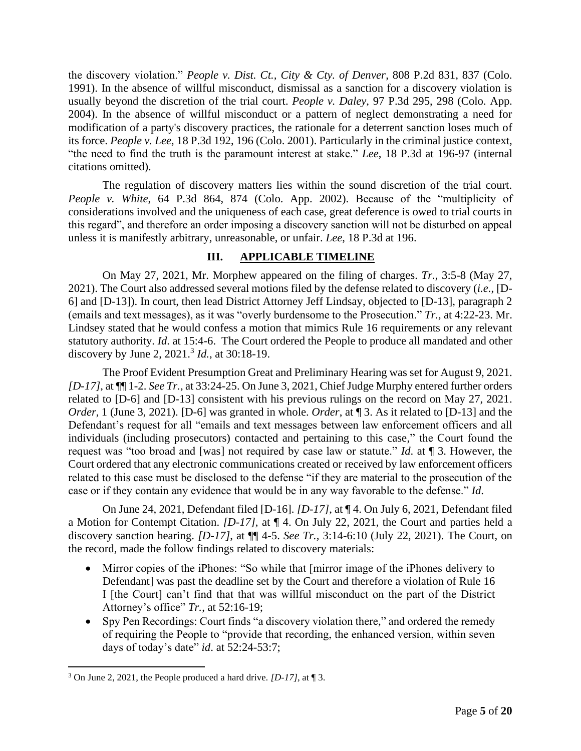the discovery violation." *People v. Dist. Ct., City & Cty. of Denver*, 808 P.2d 831, 837 (Colo. 1991). In the absence of willful misconduct, dismissal as a sanction for a discovery violation is usually beyond the discretion of the trial court. *People v. Daley*, 97 P.3d 295, 298 (Colo. App. 2004). In the absence of willful misconduct or a pattern of neglect demonstrating a need for modification of a party's discovery practices, the rationale for a deterrent sanction loses much of its force. *People v. Lee*, 18 P.3d 192, 196 (Colo. 2001). Particularly in the criminal justice context, "the need to find the truth is the paramount interest at stake." *Lee*, 18 P.3d at 196-97 (internal citations omitted).

The regulation of discovery matters lies within the sound discretion of the trial court. *People v. White*, 64 P.3d 864, 874 (Colo. App. 2002). Because of the "multiplicity of considerations involved and the uniqueness of each case, great deference is owed to trial courts in this regard", and therefore an order imposing a discovery sanction will not be disturbed on appeal unless it is manifestly arbitrary, unreasonable, or unfair. *Lee*, 18 P.3d at 196.

## **III. APPLICABLE TIMELINE**

On May 27, 2021, Mr. Morphew appeared on the filing of charges. *Tr.*, 3:5-8 (May 27, 2021). The Court also addressed several motions filed by the defense related to discovery (*i.e.*, [D-6] and [D-13]). In court, then lead District Attorney Jeff Lindsay, objected to [D-13], paragraph 2 (emails and text messages), as it was "overly burdensome to the Prosecution." *Tr.,* at 4:22-23. Mr. Lindsey stated that he would confess a motion that mimics Rule 16 requirements or any relevant statutory authority. *Id*. at 15:4-6. The Court ordered the People to produce all mandated and other discovery by June 2, 2021.<sup>3</sup> *Id.*, at 30:18-19.

The Proof Evident Presumption Great and Preliminary Hearing was set for August 9, 2021. *[D-17]*, at ¶¶ 1-2. *See Tr.*, at 33:24-25. On June 3, 2021, Chief Judge Murphy entered further orders related to [D-6] and [D-13] consistent with his previous rulings on the record on May 27, 2021. *Order*, 1 (June 3, 2021). [D-6] was granted in whole. *Order*, at **[3**. As it related to [D-13] and the Defendant's request for all "emails and text messages between law enforcement officers and all individuals (including prosecutors) contacted and pertaining to this case," the Court found the request was "too broad and [was] not required by case law or statute." *Id*. at ¶ 3. However, the Court ordered that any electronic communications created or received by law enforcement officers related to this case must be disclosed to the defense "if they are material to the prosecution of the case or if they contain any evidence that would be in any way favorable to the defense." *Id*.

On June 24, 2021, Defendant filed [D-16]. *[D-17]*, at ¶ 4. On July 6, 2021, Defendant filed a Motion for Contempt Citation. *[D-17]*, at ¶ 4. On July 22, 2021, the Court and parties held a discovery sanction hearing. *[D-17]*, at ¶¶ 4-5. *See Tr.,* 3:14-6:10 (July 22, 2021). The Court, on the record, made the follow findings related to discovery materials:

- Mirror copies of the iPhones: "So while that [mirror image of the iPhones delivery to Defendant] was past the deadline set by the Court and therefore a violation of Rule 16 I [the Court] can't find that that was willful misconduct on the part of the District Attorney's office" *Tr.*, at 52:16-19;
- Spy Pen Recordings: Court finds "a discovery violation there," and ordered the remedy of requiring the People to "provide that recording, the enhanced version, within seven days of today's date" *id*. at 52:24-53:7;

<sup>3</sup> On June 2, 2021, the People produced a hard drive. *[D-17]*, at ¶ 3.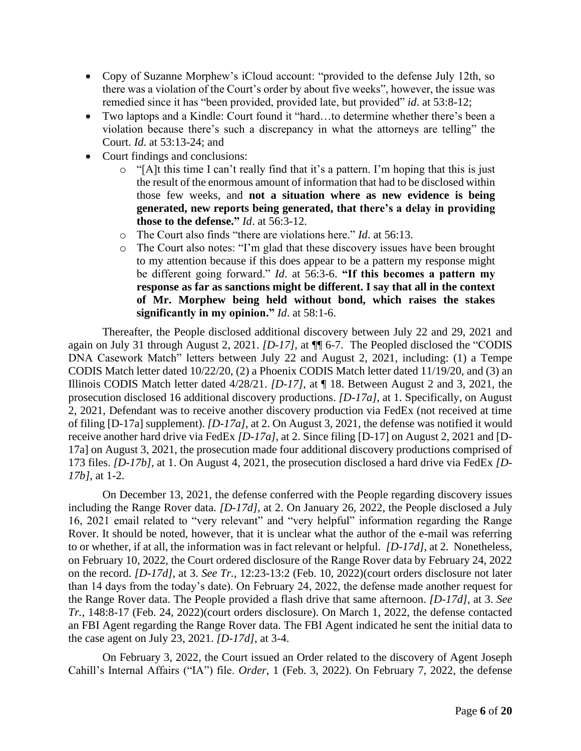- Copy of Suzanne Morphew's iCloud account: "provided to the defense July 12th, so there was a violation of the Court's order by about five weeks", however, the issue was remedied since it has "been provided, provided late, but provided" *id*. at 53:8-12;
- Two laptops and a Kindle: Court found it "hard…to determine whether there's been a violation because there's such a discrepancy in what the attorneys are telling" the Court. *Id*. at 53:13-24; and
- Court findings and conclusions:
	- o "[A]t this time I can't really find that it's a pattern. I'm hoping that this is just the result of the enormous amount of information that had to be disclosed within those few weeks, and **not a situation where as new evidence is being generated, new reports being generated, that there's a delay in providing those to the defense."** *Id*. at 56:3-12.
	- o The Court also finds "there are violations here." *Id*. at 56:13.
	- o The Court also notes: "I'm glad that these discovery issues have been brought to my attention because if this does appear to be a pattern my response might be different going forward." *Id*. at 56:3-6. **"If this becomes a pattern my response as far as sanctions might be different. I say that all in the context of Mr. Morphew being held without bond, which raises the stakes significantly in my opinion."** *Id*. at 58:1-6.

Thereafter, the People disclosed additional discovery between July 22 and 29, 2021 and again on July 31 through August 2, 2021. *[D-17]*, at ¶¶ 6-7. The Peopled disclosed the "CODIS DNA Casework Match" letters between July 22 and August 2, 2021, including: (1) a Tempe CODIS Match letter dated 10/22/20, (2) a Phoenix CODIS Match letter dated 11/19/20, and (3) an Illinois CODIS Match letter dated 4/28/21. *[D-17]*, at ¶ 18. Between August 2 and 3, 2021, the prosecution disclosed 16 additional discovery productions. *[D-17a]*, at 1. Specifically, on August 2, 2021, Defendant was to receive another discovery production via FedEx (not received at time of filing [D-17a] supplement). *[D-17a]*, at 2. On August 3, 2021, the defense was notified it would receive another hard drive via FedEx *[D-17a]*, at 2. Since filing [D-17] on August 2, 2021 and [D-17a] on August 3, 2021, the prosecution made four additional discovery productions comprised of 173 files. *[D-17b]*, at 1. On August 4, 2021, the prosecution disclosed a hard drive via FedEx *[D-17b]*, at 1-2.

On December 13, 2021, the defense conferred with the People regarding discovery issues including the Range Rover data. *[D-17d]*, at 2. On January 26, 2022, the People disclosed a July 16, 2021 email related to "very relevant" and "very helpful" information regarding the Range Rover. It should be noted, however, that it is unclear what the author of the e-mail was referring to or whether, if at all, the information was in fact relevant or helpful. *[D-17d]*, at 2. Nonetheless, on February 10, 2022, the Court ordered disclosure of the Range Rover data by February 24, 2022 on the record. *[D-17d]*, at 3. *See Tr.*, 12:23-13:2 (Feb. 10, 2022)(court orders disclosure not later than 14 days from the today's date). On February 24, 2022, the defense made another request for the Range Rover data. The People provided a flash drive that same afternoon. *[D-17d]*, at 3. *See Tr.*, 148:8-17 (Feb. 24, 2022)(court orders disclosure). On March 1, 2022, the defense contacted an FBI Agent regarding the Range Rover data. The FBI Agent indicated he sent the initial data to the case agent on July 23, 2021. *[D-17d]*, at 3-4.

On February 3, 2022, the Court issued an Order related to the discovery of Agent Joseph Cahill's Internal Affairs ("IA") file. *Order*, 1 (Feb. 3, 2022). On February 7, 2022, the defense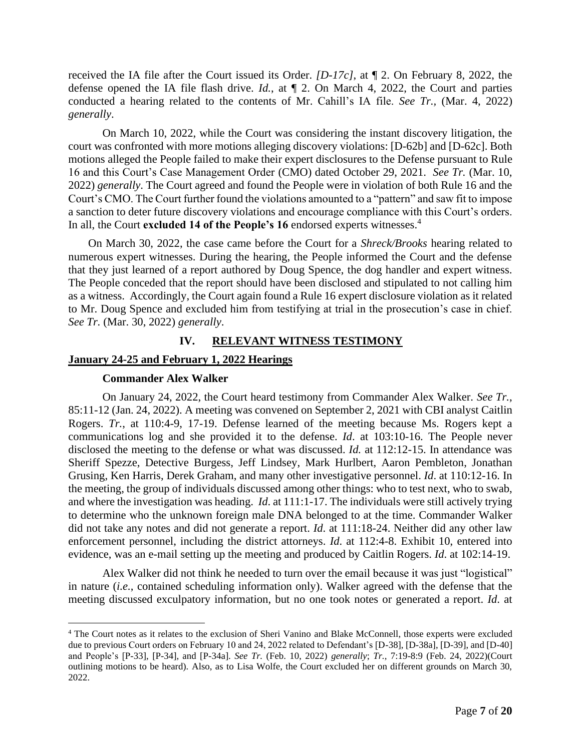received the IA file after the Court issued its Order. *[D-17c]*, at ¶ 2. On February 8, 2022, the defense opened the IA file flash drive. *Id.*, at ¶ 2. On March 4, 2022, the Court and parties conducted a hearing related to the contents of Mr. Cahill's IA file. *See Tr.,* (Mar. 4, 2022) *generally*.

On March 10, 2022, while the Court was considering the instant discovery litigation, the court was confronted with more motions alleging discovery violations: [D-62b] and [D-62c]. Both motions alleged the People failed to make their expert disclosures to the Defense pursuant to Rule 16 and this Court's Case Management Order (CMO) dated October 29, 2021. *See Tr.* (Mar. 10, 2022) *generally*. The Court agreed and found the People were in violation of both Rule 16 and the Court's CMO. The Court further found the violations amounted to a "pattern" and saw fit to impose a sanction to deter future discovery violations and encourage compliance with this Court's orders. In all, the Court **excluded 14 of the People's 16** endorsed experts witnesses.<sup>4</sup>

On March 30, 2022, the case came before the Court for a *Shreck/Brooks* hearing related to numerous expert witnesses. During the hearing, the People informed the Court and the defense that they just learned of a report authored by Doug Spence, the dog handler and expert witness. The People conceded that the report should have been disclosed and stipulated to not calling him as a witness. Accordingly, the Court again found a Rule 16 expert disclosure violation as it related to Mr. Doug Spence and excluded him from testifying at trial in the prosecution's case in chief. *See Tr.* (Mar. 30, 2022) *generally*.

## **IV. RELEVANT WITNESS TESTIMONY**

#### **January 24-25 and February 1, 2022 Hearings**

#### **Commander Alex Walker**

On January 24, 2022, the Court heard testimony from Commander Alex Walker. *See Tr.*, 85:11-12 (Jan. 24, 2022). A meeting was convened on September 2, 2021 with CBI analyst Caitlin Rogers. *Tr.*, at 110:4-9, 17-19. Defense learned of the meeting because Ms. Rogers kept a communications log and she provided it to the defense. *Id*. at 103:10-16. The People never disclosed the meeting to the defense or what was discussed. *Id.* at 112:12-15. In attendance was Sheriff Spezze, Detective Burgess, Jeff Lindsey, Mark Hurlbert, Aaron Pembleton, Jonathan Grusing, Ken Harris, Derek Graham, and many other investigative personnel. *Id*. at 110:12-16. In the meeting, the group of individuals discussed among other things: who to test next, who to swab, and where the investigation was heading. *Id*. at 111:1-17. The individuals were still actively trying to determine who the unknown foreign male DNA belonged to at the time. Commander Walker did not take any notes and did not generate a report. *Id*. at 111:18-24. Neither did any other law enforcement personnel, including the district attorneys. *Id*. at 112:4-8. Exhibit 10, entered into evidence, was an e-mail setting up the meeting and produced by Caitlin Rogers. *Id*. at 102:14-19.

Alex Walker did not think he needed to turn over the email because it was just "logistical" in nature (*i.e.*, contained scheduling information only). Walker agreed with the defense that the meeting discussed exculpatory information, but no one took notes or generated a report. *Id*. at

<sup>4</sup> The Court notes as it relates to the exclusion of Sheri Vanino and Blake McConnell, those experts were excluded due to previous Court orders on February 10 and 24, 2022 related to Defendant's [D-38], [D-38a], [D-39], and [D-40] and People's [P-33], [P-34], and [P-34a]. *See Tr.* (Feb. 10, 2022) *generally*; *Tr.*, 7:19-8:9 (Feb. 24, 2022)(Court outlining motions to be heard). Also, as to Lisa Wolfe, the Court excluded her on different grounds on March 30, 2022.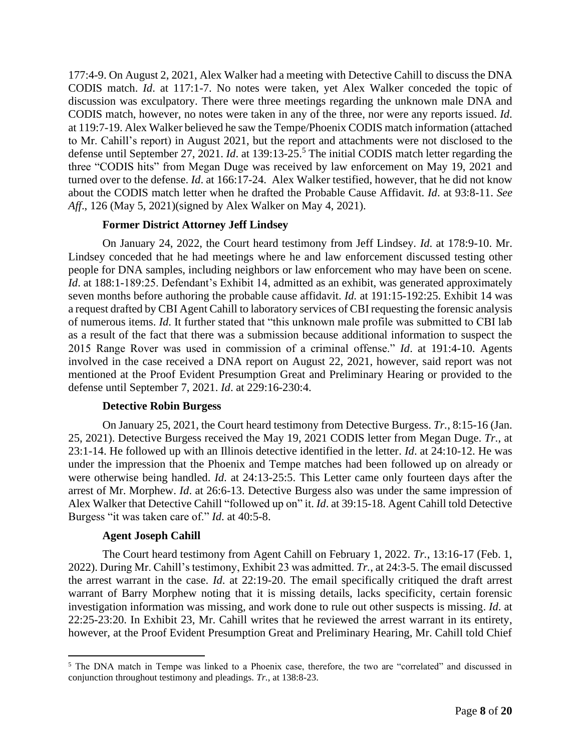177:4-9. On August 2, 2021, Alex Walker had a meeting with Detective Cahill to discuss the DNA CODIS match. *Id*. at 117:1-7. No notes were taken, yet Alex Walker conceded the topic of discussion was exculpatory. There were three meetings regarding the unknown male DNA and CODIS match, however, no notes were taken in any of the three, nor were any reports issued. *Id*. at 119:7-19. Alex Walker believed he saw the Tempe/Phoenix CODIS match information (attached to Mr. Cahill's report) in August 2021, but the report and attachments were not disclosed to the defense until September 27, 2021. *Id.* at 139:13-25.<sup>5</sup> The initial CODIS match letter regarding the three "CODIS hits" from Megan Duge was received by law enforcement on May 19, 2021 and turned over to the defense. *Id*. at 166:17-24. Alex Walker testified, however, that he did not know about the CODIS match letter when he drafted the Probable Cause Affidavit. *Id*. at 93:8-11. *See Aff*., 126 (May 5, 2021)(signed by Alex Walker on May 4, 2021).

# **Former District Attorney Jeff Lindsey**

On January 24, 2022, the Court heard testimony from Jeff Lindsey. *Id*. at 178:9-10. Mr. Lindsey conceded that he had meetings where he and law enforcement discussed testing other people for DNA samples, including neighbors or law enforcement who may have been on scene. *Id.* at 188:1-189:25. Defendant's Exhibit 14, admitted as an exhibit, was generated approximately seven months before authoring the probable cause affidavit. *Id.* at 191:15-192:25. Exhibit 14 was a request drafted by CBI Agent Cahill to laboratory services of CBI requesting the forensic analysis of numerous items. *Id*. It further stated that "this unknown male profile was submitted to CBI lab as a result of the fact that there was a submission because additional information to suspect the 2015 Range Rover was used in commission of a criminal offense." *Id*. at 191:4-10. Agents involved in the case received a DNA report on August 22, 2021, however, said report was not mentioned at the Proof Evident Presumption Great and Preliminary Hearing or provided to the defense until September 7, 2021. *Id*. at 229:16-230:4.

## **Detective Robin Burgess**

On January 25, 2021, the Court heard testimony from Detective Burgess. *Tr.*, 8:15-16 (Jan. 25, 2021). Detective Burgess received the May 19, 2021 CODIS letter from Megan Duge. *Tr.*, at 23:1-14. He followed up with an Illinois detective identified in the letter. *Id*. at 24:10-12. He was under the impression that the Phoenix and Tempe matches had been followed up on already or were otherwise being handled. *Id*. at 24:13-25:5. This Letter came only fourteen days after the arrest of Mr. Morphew. *Id*. at 26:6-13. Detective Burgess also was under the same impression of Alex Walker that Detective Cahill "followed up on" it. *Id*. at 39:15-18. Agent Cahill told Detective Burgess "it was taken care of." *Id*. at 40:5-8.

## **Agent Joseph Cahill**

The Court heard testimony from Agent Cahill on February 1, 2022. *Tr.*, 13:16-17 (Feb. 1, 2022). During Mr. Cahill's testimony, Exhibit 23 was admitted. *Tr.*, at 24:3-5. The email discussed the arrest warrant in the case. *Id*. at 22:19-20. The email specifically critiqued the draft arrest warrant of Barry Morphew noting that it is missing details, lacks specificity, certain forensic investigation information was missing, and work done to rule out other suspects is missing. *Id*. at 22:25-23:20. In Exhibit 23, Mr. Cahill writes that he reviewed the arrest warrant in its entirety, however, at the Proof Evident Presumption Great and Preliminary Hearing, Mr. Cahill told Chief

<sup>&</sup>lt;sup>5</sup> The DNA match in Tempe was linked to a Phoenix case, therefore, the two are "correlated" and discussed in conjunction throughout testimony and pleadings. *Tr.*, at 138:8-23.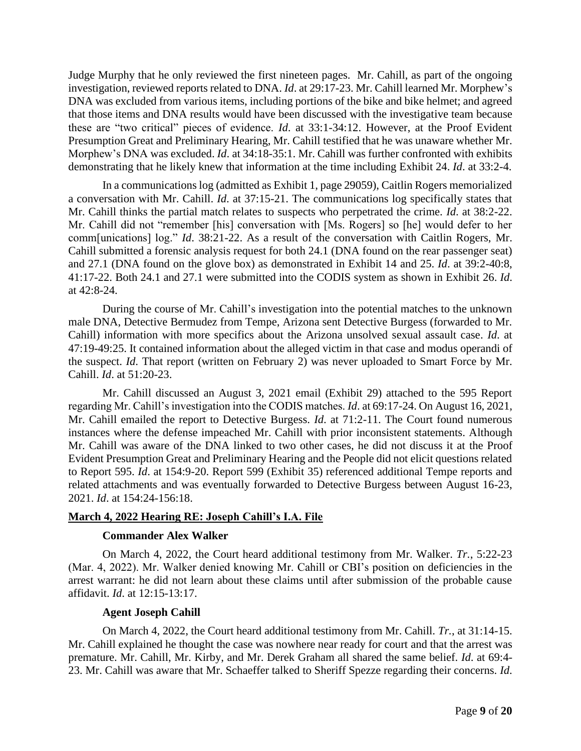Judge Murphy that he only reviewed the first nineteen pages. Mr. Cahill, as part of the ongoing investigation, reviewed reports related to DNA. *Id*. at 29:17-23. Mr. Cahill learned Mr. Morphew's DNA was excluded from various items, including portions of the bike and bike helmet; and agreed that those items and DNA results would have been discussed with the investigative team because these are "two critical" pieces of evidence. *Id*. at 33:1-34:12. However, at the Proof Evident Presumption Great and Preliminary Hearing, Mr. Cahill testified that he was unaware whether Mr. Morphew's DNA was excluded. *Id*. at 34:18-35:1. Mr. Cahill was further confronted with exhibits demonstrating that he likely knew that information at the time including Exhibit 24. *Id*. at 33:2-4.

In a communications log (admitted as Exhibit 1, page 29059), Caitlin Rogers memorialized a conversation with Mr. Cahill. *Id*. at 37:15-21. The communications log specifically states that Mr. Cahill thinks the partial match relates to suspects who perpetrated the crime. *Id*. at 38:2-22. Mr. Cahill did not "remember [his] conversation with [Ms. Rogers] so [he] would defer to her comm[unications] log." *Id*. 38:21-22. As a result of the conversation with Caitlin Rogers, Mr. Cahill submitted a forensic analysis request for both 24.1 (DNA found on the rear passenger seat) and 27.1 (DNA found on the glove box) as demonstrated in Exhibit 14 and 25. *Id*. at 39:2-40:8, 41:17-22. Both 24.1 and 27.1 were submitted into the CODIS system as shown in Exhibit 26. *Id*. at 42:8-24.

During the course of Mr. Cahill's investigation into the potential matches to the unknown male DNA, Detective Bermudez from Tempe, Arizona sent Detective Burgess (forwarded to Mr. Cahill) information with more specifics about the Arizona unsolved sexual assault case. *Id*. at 47:19-49:25. It contained information about the alleged victim in that case and modus operandi of the suspect. *Id*. That report (written on February 2) was never uploaded to Smart Force by Mr. Cahill. *Id*. at 51:20-23.

Mr. Cahill discussed an August 3, 2021 email (Exhibit 29) attached to the 595 Report regarding Mr. Cahill's investigation into the CODIS matches. *Id*. at 69:17-24. On August 16, 2021, Mr. Cahill emailed the report to Detective Burgess. *Id*. at 71:2-11. The Court found numerous instances where the defense impeached Mr. Cahill with prior inconsistent statements. Although Mr. Cahill was aware of the DNA linked to two other cases, he did not discuss it at the Proof Evident Presumption Great and Preliminary Hearing and the People did not elicit questions related to Report 595. *Id*. at 154:9-20. Report 599 (Exhibit 35) referenced additional Tempe reports and related attachments and was eventually forwarded to Detective Burgess between August 16-23, 2021. *Id*. at 154:24-156:18.

## **March 4, 2022 Hearing RE: Joseph Cahill's I.A. File**

## **Commander Alex Walker**

On March 4, 2022, the Court heard additional testimony from Mr. Walker. *Tr.*, 5:22-23 (Mar. 4, 2022). Mr. Walker denied knowing Mr. Cahill or CBI's position on deficiencies in the arrest warrant: he did not learn about these claims until after submission of the probable cause affidavit. *Id*. at 12:15-13:17.

## **Agent Joseph Cahill**

On March 4, 2022, the Court heard additional testimony from Mr. Cahill. *Tr.*, at 31:14-15. Mr. Cahill explained he thought the case was nowhere near ready for court and that the arrest was premature. Mr. Cahill, Mr. Kirby, and Mr. Derek Graham all shared the same belief. *Id*. at 69:4- 23. Mr. Cahill was aware that Mr. Schaeffer talked to Sheriff Spezze regarding their concerns. *Id*.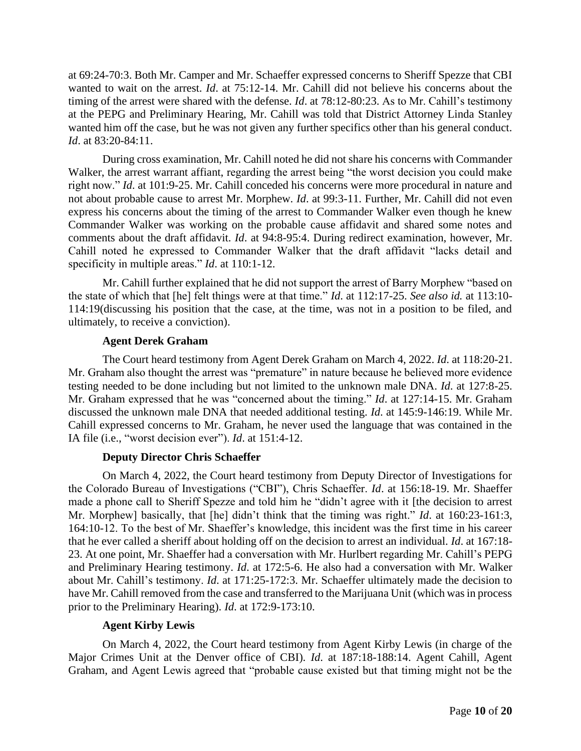at 69:24-70:3. Both Mr. Camper and Mr. Schaeffer expressed concerns to Sheriff Spezze that CBI wanted to wait on the arrest. *Id*. at 75:12-14. Mr. Cahill did not believe his concerns about the timing of the arrest were shared with the defense. *Id*. at 78:12-80:23. As to Mr. Cahill's testimony at the PEPG and Preliminary Hearing, Mr. Cahill was told that District Attorney Linda Stanley wanted him off the case, but he was not given any further specifics other than his general conduct. *Id*. at 83:20-84:11.

During cross examination, Mr. Cahill noted he did not share his concerns with Commander Walker, the arrest warrant affiant, regarding the arrest being "the worst decision you could make right now." *Id*. at 101:9-25. Mr. Cahill conceded his concerns were more procedural in nature and not about probable cause to arrest Mr. Morphew. *Id*. at 99:3-11. Further, Mr. Cahill did not even express his concerns about the timing of the arrest to Commander Walker even though he knew Commander Walker was working on the probable cause affidavit and shared some notes and comments about the draft affidavit. *Id*. at 94:8-95:4. During redirect examination, however, Mr. Cahill noted he expressed to Commander Walker that the draft affidavit "lacks detail and specificity in multiple areas." *Id*. at 110:1-12.

Mr. Cahill further explained that he did not support the arrest of Barry Morphew "based on the state of which that [he] felt things were at that time." *Id*. at 112:17-25. *See also id.* at 113:10- 114:19(discussing his position that the case, at the time, was not in a position to be filed, and ultimately, to receive a conviction).

#### **Agent Derek Graham**

The Court heard testimony from Agent Derek Graham on March 4, 2022. *Id*. at 118:20-21. Mr. Graham also thought the arrest was "premature" in nature because he believed more evidence testing needed to be done including but not limited to the unknown male DNA. *Id*. at 127:8-25. Mr. Graham expressed that he was "concerned about the timing." *Id*. at 127:14-15. Mr. Graham discussed the unknown male DNA that needed additional testing. *Id*. at 145:9-146:19. While Mr. Cahill expressed concerns to Mr. Graham, he never used the language that was contained in the IA file (i.e., "worst decision ever"). *Id*. at 151:4-12.

## **Deputy Director Chris Schaeffer**

On March 4, 2022, the Court heard testimony from Deputy Director of Investigations for the Colorado Bureau of Investigations ("CBI"), Chris Schaeffer. *Id*. at 156:18-19. Mr. Shaeffer made a phone call to Sheriff Spezze and told him he "didn't agree with it [the decision to arrest Mr. Morphew] basically, that [he] didn't think that the timing was right." *Id*. at 160:23-161:3, 164:10-12. To the best of Mr. Shaeffer's knowledge, this incident was the first time in his career that he ever called a sheriff about holding off on the decision to arrest an individual. *Id*. at 167:18- 23. At one point, Mr. Shaeffer had a conversation with Mr. Hurlbert regarding Mr. Cahill's PEPG and Preliminary Hearing testimony. *Id*. at 172:5-6. He also had a conversation with Mr. Walker about Mr. Cahill's testimony. *Id*. at 171:25-172:3. Mr. Schaeffer ultimately made the decision to have Mr. Cahill removed from the case and transferred to the Marijuana Unit (which was in process prior to the Preliminary Hearing). *Id*. at 172:9-173:10.

## **Agent Kirby Lewis**

On March 4, 2022, the Court heard testimony from Agent Kirby Lewis (in charge of the Major Crimes Unit at the Denver office of CBI). *Id*. at 187:18-188:14. Agent Cahill, Agent Graham, and Agent Lewis agreed that "probable cause existed but that timing might not be the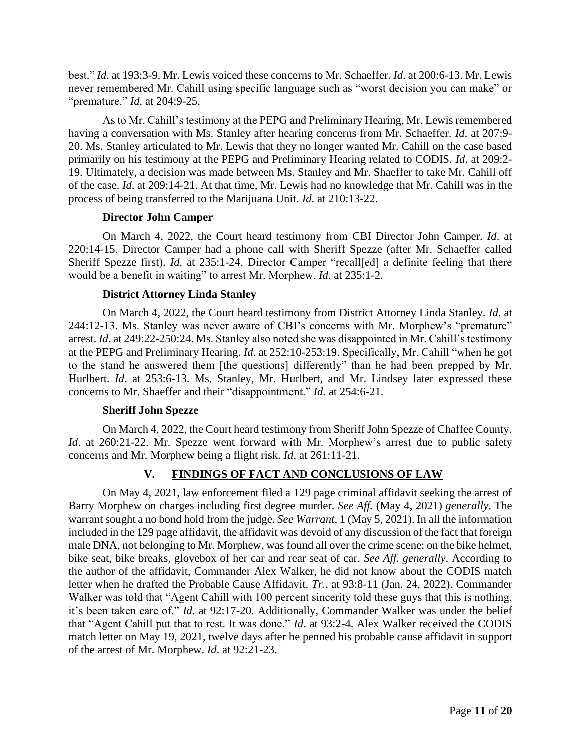best." *Id*. at 193:3-9. Mr. Lewis voiced these concerns to Mr. Schaeffer. *Id*. at 200:6-13. Mr. Lewis never remembered Mr. Cahill using specific language such as "worst decision you can make" or "premature." *Id*. at 204:9-25.

As to Mr. Cahill's testimony at the PEPG and Preliminary Hearing, Mr. Lewis remembered having a conversation with Ms. Stanley after hearing concerns from Mr. Schaeffer. *Id*. at 207:9- 20. Ms. Stanley articulated to Mr. Lewis that they no longer wanted Mr. Cahill on the case based primarily on his testimony at the PEPG and Preliminary Hearing related to CODIS. *Id*. at 209:2- 19. Ultimately, a decision was made between Ms. Stanley and Mr. Shaeffer to take Mr. Cahill off of the case. *Id*. at 209:14-21. At that time, Mr. Lewis had no knowledge that Mr. Cahill was in the process of being transferred to the Marijuana Unit. *Id*. at 210:13-22.

## **Director John Camper**

On March 4, 2022, the Court heard testimony from CBI Director John Camper. *Id*. at 220:14-15. Director Camper had a phone call with Sheriff Spezze (after Mr. Schaeffer called Sheriff Spezze first). *Id.* at 235:1-24. Director Camper "recall[ed] a definite feeling that there would be a benefit in waiting" to arrest Mr. Morphew. *Id*. at 235:1-2.

# **District Attorney Linda Stanley**

On March 4, 2022, the Court heard testimony from District Attorney Linda Stanley. *Id*. at 244:12-13. Ms. Stanley was never aware of CBI's concerns with Mr. Morphew's "premature" arrest. *Id*. at 249:22-250:24. Ms. Stanley also noted she was disappointed in Mr. Cahill's testimony at the PEPG and Preliminary Hearing. *Id*. at 252:10-253:19. Specifically, Mr. Cahill "when he got to the stand he answered them [the questions] differently" than he had been prepped by Mr. Hurlbert. *Id.* at 253:6-13. Ms. Stanley, Mr. Hurlbert, and Mr. Lindsey later expressed these concerns to Mr. Shaeffer and their "disappointment." *Id*. at 254:6-21.

## **Sheriff John Spezze**

On March 4, 2022, the Court heard testimony from Sheriff John Spezze of Chaffee County. *Id.* at 260:21-22. Mr. Spezze went forward with Mr. Morphew's arrest due to public safety concerns and Mr. Morphew being a flight risk. *Id*. at 261:11-21.

# **V. FINDINGS OF FACT AND CONCLUSIONS OF LAW**

On May 4, 2021, law enforcement filed a 129 page criminal affidavit seeking the arrest of Barry Morphew on charges including first degree murder. *See Aff.* (May 4, 2021) *generally*. The warrant sought a no bond hold from the judge. *See Warrant*, 1 (May 5, 2021). In all the information included in the 129 page affidavit, the affidavit was devoid of any discussion of the fact that foreign male DNA, not belonging to Mr. Morphew, was found all over the crime scene: on the bike helmet, bike seat, bike breaks, glovebox of her car and rear seat of car. *See Aff. generally*. According to the author of the affidavit, Commander Alex Walker, he did not know about the CODIS match letter when he drafted the Probable Cause Affidavit. *Tr.*, at 93:8-11 (Jan. 24, 2022). Commander Walker was told that "Agent Cahill with 100 percent sincerity told these guys that this is nothing, it's been taken care of." *Id*. at 92:17-20. Additionally, Commander Walker was under the belief that "Agent Cahill put that to rest. It was done." *Id*. at 93:2-4. Alex Walker received the CODIS match letter on May 19, 2021, twelve days after he penned his probable cause affidavit in support of the arrest of Mr. Morphew. *Id*. at 92:21-23.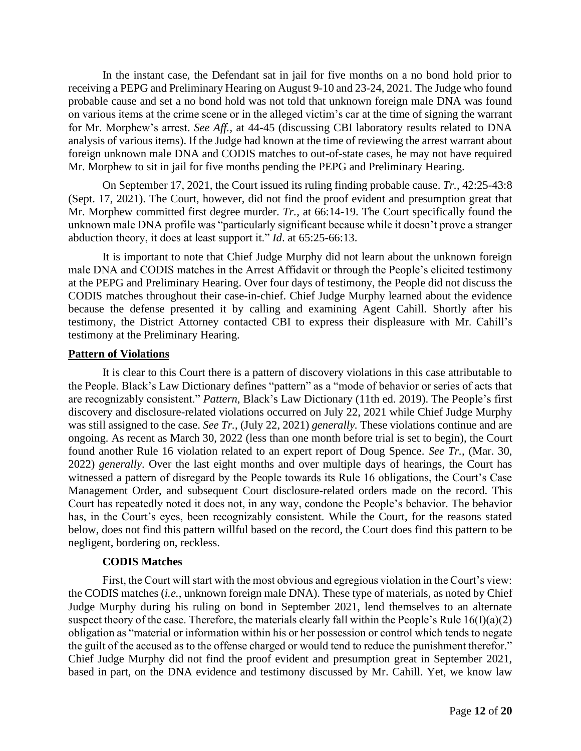In the instant case, the Defendant sat in jail for five months on a no bond hold prior to receiving a PEPG and Preliminary Hearing on August 9-10 and 23-24, 2021. The Judge who found probable cause and set a no bond hold was not told that unknown foreign male DNA was found on various items at the crime scene or in the alleged victim's car at the time of signing the warrant for Mr. Morphew's arrest. *See Aff.*, at 44-45 (discussing CBI laboratory results related to DNA analysis of various items). If the Judge had known at the time of reviewing the arrest warrant about foreign unknown male DNA and CODIS matches to out-of-state cases, he may not have required Mr. Morphew to sit in jail for five months pending the PEPG and Preliminary Hearing.

On September 17, 2021, the Court issued its ruling finding probable cause. *Tr.*, 42:25-43:8 (Sept. 17, 2021). The Court, however, did not find the proof evident and presumption great that Mr. Morphew committed first degree murder. *Tr.*, at 66:14-19. The Court specifically found the unknown male DNA profile was "particularly significant because while it doesn't prove a stranger abduction theory, it does at least support it." *Id*. at 65:25-66:13.

It is important to note that Chief Judge Murphy did not learn about the unknown foreign male DNA and CODIS matches in the Arrest Affidavit or through the People's elicited testimony at the PEPG and Preliminary Hearing. Over four days of testimony, the People did not discuss the CODIS matches throughout their case-in-chief. Chief Judge Murphy learned about the evidence because the defense presented it by calling and examining Agent Cahill. Shortly after his testimony, the District Attorney contacted CBI to express their displeasure with Mr. Cahill's testimony at the Preliminary Hearing.

## **Pattern of Violations**

It is clear to this Court there is a pattern of discovery violations in this case attributable to the People. Black's Law Dictionary defines "pattern" as a "mode of behavior or series of acts that are recognizably consistent." *Pattern*, Black's Law Dictionary (11th ed. 2019). The People's first discovery and disclosure-related violations occurred on July 22, 2021 while Chief Judge Murphy was still assigned to the case. *See Tr.*, (July 22, 2021) *generally.* These violations continue and are ongoing. As recent as March 30, 2022 (less than one month before trial is set to begin), the Court found another Rule 16 violation related to an expert report of Doug Spence. *See Tr.*, (Mar. 30, 2022) *generally*. Over the last eight months and over multiple days of hearings, the Court has witnessed a pattern of disregard by the People towards its Rule 16 obligations, the Court's Case Management Order, and subsequent Court disclosure-related orders made on the record. This Court has repeatedly noted it does not, in any way, condone the People's behavior. The behavior has, in the Court's eyes, been recognizably consistent. While the Court, for the reasons stated below, does not find this pattern willful based on the record, the Court does find this pattern to be negligent, bordering on, reckless.

## **CODIS Matches**

First, the Court will start with the most obvious and egregious violation in the Court's view: the CODIS matches (*i.e.*, unknown foreign male DNA). These type of materials, as noted by Chief Judge Murphy during his ruling on bond in September 2021, lend themselves to an alternate suspect theory of the case. Therefore, the materials clearly fall within the People's Rule  $16(I)(a)(2)$ obligation as "material or information within his or her possession or control which tends to negate the guilt of the accused as to the offense charged or would tend to reduce the punishment therefor." Chief Judge Murphy did not find the proof evident and presumption great in September 2021, based in part, on the DNA evidence and testimony discussed by Mr. Cahill. Yet, we know law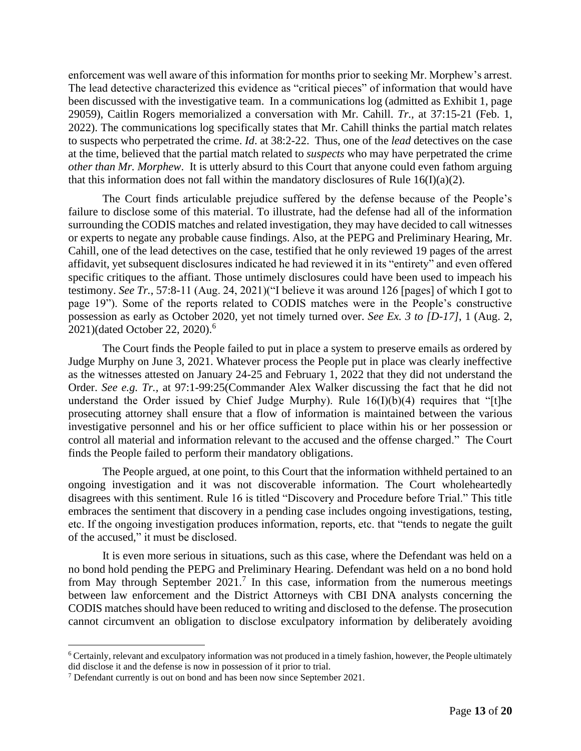enforcement was well aware of this information for months prior to seeking Mr. Morphew's arrest. The lead detective characterized this evidence as "critical pieces" of information that would have been discussed with the investigative team. In a communications log (admitted as Exhibit 1, page 29059), Caitlin Rogers memorialized a conversation with Mr. Cahill. *Tr.,* at 37:15-21 (Feb. 1, 2022). The communications log specifically states that Mr. Cahill thinks the partial match relates to suspects who perpetrated the crime. *Id*. at 38:2-22. Thus, one of the *lead* detectives on the case at the time, believed that the partial match related to *suspects* who may have perpetrated the crime *other than Mr. Morphew*. It is utterly absurd to this Court that anyone could even fathom arguing that this information does not fall within the mandatory disclosures of Rule 16(I)(a)(2).

The Court finds articulable prejudice suffered by the defense because of the People's failure to disclose some of this material. To illustrate, had the defense had all of the information surrounding the CODIS matches and related investigation, they may have decided to call witnesses or experts to negate any probable cause findings. Also, at the PEPG and Preliminary Hearing, Mr. Cahill, one of the lead detectives on the case, testified that he only reviewed 19 pages of the arrest affidavit, yet subsequent disclosures indicated he had reviewed it in its "entirety" and even offered specific critiques to the affiant. Those untimely disclosures could have been used to impeach his testimony. *See Tr.*, 57:8-11 (Aug. 24, 2021)("I believe it was around 126 [pages] of which I got to page 19"). Some of the reports related to CODIS matches were in the People's constructive possession as early as October 2020, yet not timely turned over. *See Ex. 3 to [D-17]*, 1 (Aug. 2, 2021)(dated October 22, 2020).<sup>6</sup>

The Court finds the People failed to put in place a system to preserve emails as ordered by Judge Murphy on June 3, 2021. Whatever process the People put in place was clearly ineffective as the witnesses attested on January 24-25 and February 1, 2022 that they did not understand the Order. *See e.g. Tr.,* at 97:1-99:25(Commander Alex Walker discussing the fact that he did not understand the Order issued by Chief Judge Murphy). Rule 16(I)(b)(4) requires that "[t]he prosecuting attorney shall ensure that a flow of information is maintained between the various investigative personnel and his or her office sufficient to place within his or her possession or control all material and information relevant to the accused and the offense charged." The Court finds the People failed to perform their mandatory obligations.

The People argued, at one point, to this Court that the information withheld pertained to an ongoing investigation and it was not discoverable information. The Court wholeheartedly disagrees with this sentiment. Rule 16 is titled "Discovery and Procedure before Trial." This title embraces the sentiment that discovery in a pending case includes ongoing investigations, testing, etc. If the ongoing investigation produces information, reports, etc. that "tends to negate the guilt of the accused," it must be disclosed.

It is even more serious in situations, such as this case, where the Defendant was held on a no bond hold pending the PEPG and Preliminary Hearing. Defendant was held on a no bond hold from May through September  $2021$ .<sup>7</sup> In this case, information from the numerous meetings between law enforcement and the District Attorneys with CBI DNA analysts concerning the CODIS matches should have been reduced to writing and disclosed to the defense. The prosecution cannot circumvent an obligation to disclose exculpatory information by deliberately avoiding

<sup>6</sup> Certainly, relevant and exculpatory information was not produced in a timely fashion, however, the People ultimately did disclose it and the defense is now in possession of it prior to trial.

 $<sup>7</sup>$  Defendant currently is out on bond and has been now since September 2021.</sup>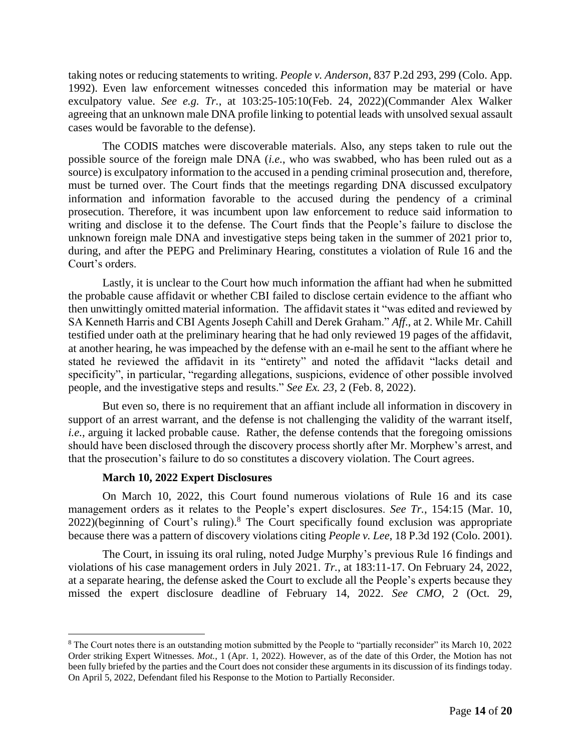taking notes or reducing statements to writing. *People v. Anderson*, 837 P.2d 293, 299 (Colo. App. 1992). Even law enforcement witnesses conceded this information may be material or have exculpatory value. *See e.g. Tr.*, at 103:25-105:10(Feb. 24, 2022)(Commander Alex Walker agreeing that an unknown male DNA profile linking to potential leads with unsolved sexual assault cases would be favorable to the defense).

The CODIS matches were discoverable materials. Also, any steps taken to rule out the possible source of the foreign male DNA (*i.e.*, who was swabbed, who has been ruled out as a source) is exculpatory information to the accused in a pending criminal prosecution and, therefore, must be turned over. The Court finds that the meetings regarding DNA discussed exculpatory information and information favorable to the accused during the pendency of a criminal prosecution. Therefore, it was incumbent upon law enforcement to reduce said information to writing and disclose it to the defense. The Court finds that the People's failure to disclose the unknown foreign male DNA and investigative steps being taken in the summer of 2021 prior to, during, and after the PEPG and Preliminary Hearing, constitutes a violation of Rule 16 and the Court's orders.

Lastly, it is unclear to the Court how much information the affiant had when he submitted the probable cause affidavit or whether CBI failed to disclose certain evidence to the affiant who then unwittingly omitted material information. The affidavit states it "was edited and reviewed by SA Kenneth Harris and CBI Agents Joseph Cahill and Derek Graham." *Aff*., at 2. While Mr. Cahill testified under oath at the preliminary hearing that he had only reviewed 19 pages of the affidavit, at another hearing, he was impeached by the defense with an e-mail he sent to the affiant where he stated he reviewed the affidavit in its "entirety" and noted the affidavit "lacks detail and specificity", in particular, "regarding allegations, suspicions, evidence of other possible involved people, and the investigative steps and results." *See Ex. 23,* 2 (Feb. 8, 2022).

But even so, there is no requirement that an affiant include all information in discovery in support of an arrest warrant, and the defense is not challenging the validity of the warrant itself, *i.e.*, arguing it lacked probable cause. Rather, the defense contends that the foregoing omissions should have been disclosed through the discovery process shortly after Mr. Morphew's arrest, and that the prosecution's failure to do so constitutes a discovery violation. The Court agrees.

#### **March 10, 2022 Expert Disclosures**

On March 10, 2022, this Court found numerous violations of Rule 16 and its case management orders as it relates to the People's expert disclosures. *See Tr.*, 154:15 (Mar. 10,  $2022$ )(beginning of Court's ruling).<sup>8</sup> The Court specifically found exclusion was appropriate because there was a pattern of discovery violations citing *People v. Lee*, 18 P.3d 192 (Colo. 2001).

The Court, in issuing its oral ruling, noted Judge Murphy's previous Rule 16 findings and violations of his case management orders in July 2021. *Tr.*, at 183:11-17. On February 24, 2022, at a separate hearing, the defense asked the Court to exclude all the People's experts because they missed the expert disclosure deadline of February 14, 2022. *See CMO*, 2 (Oct. 29,

<sup>&</sup>lt;sup>8</sup> The Court notes there is an outstanding motion submitted by the People to "partially reconsider" its March 10, 2022 Order striking Expert Witnesses. *Mot.*, 1 (Apr. 1, 2022). However, as of the date of this Order, the Motion has not been fully briefed by the parties and the Court does not consider these arguments in its discussion of its findings today. On April 5, 2022, Defendant filed his Response to the Motion to Partially Reconsider.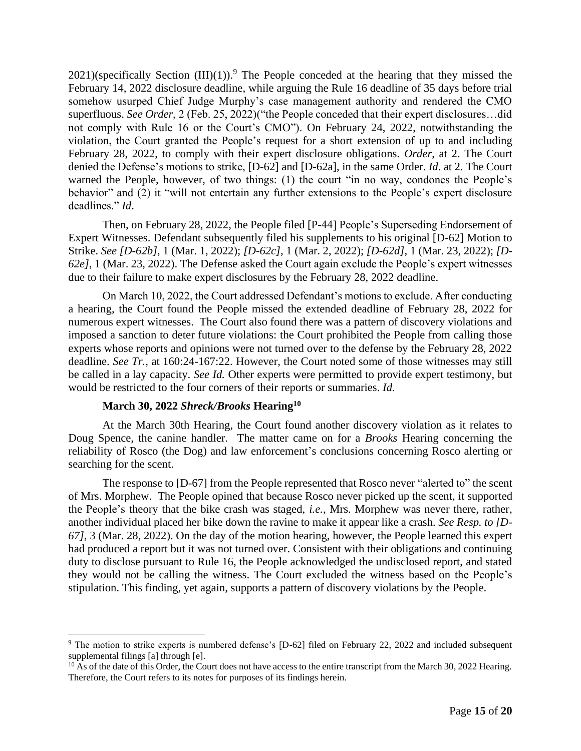$2021$ )(specifically Section  $(III)(1)$ ).<sup>9</sup> The People conceded at the hearing that they missed the February 14, 2022 disclosure deadline, while arguing the Rule 16 deadline of 35 days before trial somehow usurped Chief Judge Murphy's case management authority and rendered the CMO superfluous. *See Order*, 2 (Feb. 25, 2022)("the People conceded that their expert disclosures…did not comply with Rule 16 or the Court's CMO"). On February 24, 2022, notwithstanding the violation, the Court granted the People's request for a short extension of up to and including February 28, 2022, to comply with their expert disclosure obligations. *Order*, at 2. The Court denied the Defense's motions to strike, [D-62] and [D-62a], in the same Order. *Id*. at 2. The Court warned the People, however, of two things: (1) the court "in no way, condones the People's behavior" and (2) it "will not entertain any further extensions to the People's expert disclosure deadlines." *Id*.

Then, on February 28, 2022, the People filed [P-44] People's Superseding Endorsement of Expert Witnesses. Defendant subsequently filed his supplements to his original [D-62] Motion to Strike. *See [D-62b]*, 1 (Mar. 1, 2022); *[D-62c]*, 1 (Mar. 2, 2022); *[D-62d]*, 1 (Mar. 23, 2022); *[D-62e]*, 1 (Mar. 23, 2022). The Defense asked the Court again exclude the People's expert witnesses due to their failure to make expert disclosures by the February 28, 2022 deadline.

On March 10, 2022, the Court addressed Defendant's motions to exclude. After conducting a hearing, the Court found the People missed the extended deadline of February 28, 2022 for numerous expert witnesses. The Court also found there was a pattern of discovery violations and imposed a sanction to deter future violations: the Court prohibited the People from calling those experts whose reports and opinions were not turned over to the defense by the February 28, 2022 deadline. *See Tr.*, at 160:24-167:22. However, the Court noted some of those witnesses may still be called in a lay capacity. *See Id.* Other experts were permitted to provide expert testimony, but would be restricted to the four corners of their reports or summaries. *Id.*

## **March 30, 2022** *Shreck/Brooks* **Hearing<sup>10</sup>**

At the March 30th Hearing, the Court found another discovery violation as it relates to Doug Spence, the canine handler. The matter came on for a *Brooks* Hearing concerning the reliability of Rosco (the Dog) and law enforcement's conclusions concerning Rosco alerting or searching for the scent.

The response to [D-67] from the People represented that Rosco never "alerted to" the scent of Mrs. Morphew. The People opined that because Rosco never picked up the scent, it supported the People's theory that the bike crash was staged, *i.e.*, Mrs. Morphew was never there, rather, another individual placed her bike down the ravine to make it appear like a crash. *See Resp. to [D-67]*, 3 (Mar. 28, 2022). On the day of the motion hearing, however, the People learned this expert had produced a report but it was not turned over. Consistent with their obligations and continuing duty to disclose pursuant to Rule 16, the People acknowledged the undisclosed report, and stated they would not be calling the witness. The Court excluded the witness based on the People's stipulation. This finding, yet again, supports a pattern of discovery violations by the People.

<sup>9</sup> The motion to strike experts is numbered defense's [D-62] filed on February 22, 2022 and included subsequent supplemental filings [a] through [e].

<sup>&</sup>lt;sup>10</sup> As of the date of this Order, the Court does not have access to the entire transcript from the March 30, 2022 Hearing. Therefore, the Court refers to its notes for purposes of its findings herein.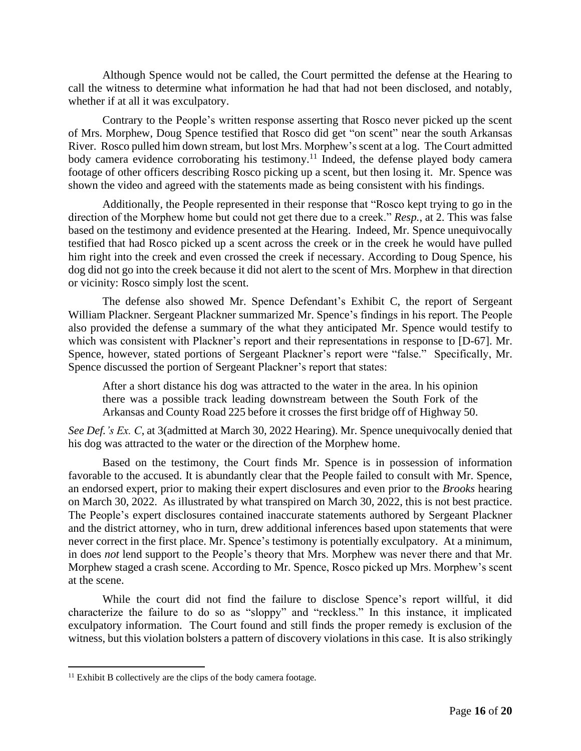Although Spence would not be called, the Court permitted the defense at the Hearing to call the witness to determine what information he had that had not been disclosed, and notably, whether if at all it was exculpatory.

Contrary to the People's written response asserting that Rosco never picked up the scent of Mrs. Morphew, Doug Spence testified that Rosco did get "on scent" near the south Arkansas River. Rosco pulled him down stream, but lost Mrs. Morphew's scent at a log. The Court admitted body camera evidence corroborating his testimony.<sup>11</sup> Indeed, the defense played body camera footage of other officers describing Rosco picking up a scent, but then losing it. Mr. Spence was shown the video and agreed with the statements made as being consistent with his findings.

Additionally, the People represented in their response that "Rosco kept trying to go in the direction of the Morphew home but could not get there due to a creek." *Resp.*, at 2. This was false based on the testimony and evidence presented at the Hearing. Indeed, Mr. Spence unequivocally testified that had Rosco picked up a scent across the creek or in the creek he would have pulled him right into the creek and even crossed the creek if necessary. According to Doug Spence, his dog did not go into the creek because it did not alert to the scent of Mrs. Morphew in that direction or vicinity: Rosco simply lost the scent.

The defense also showed Mr. Spence Defendant's Exhibit C, the report of Sergeant William Plackner. Sergeant Plackner summarized Mr. Spence's findings in his report. The People also provided the defense a summary of the what they anticipated Mr. Spence would testify to which was consistent with Plackner's report and their representations in response to [D-67]. Mr. Spence, however, stated portions of Sergeant Plackner's report were "false." Specifically, Mr. Spence discussed the portion of Sergeant Plackner's report that states:

After a short distance his dog was attracted to the water in the area. ln his opinion there was a possible track leading downstream between the South Fork of the Arkansas and County Road 225 before it crosses the first bridge off of Highway 50.

*See Def.'s Ex. C*, at 3(admitted at March 30, 2022 Hearing). Mr. Spence unequivocally denied that his dog was attracted to the water or the direction of the Morphew home.

Based on the testimony, the Court finds Mr. Spence is in possession of information favorable to the accused. It is abundantly clear that the People failed to consult with Mr. Spence, an endorsed expert, prior to making their expert disclosures and even prior to the *Brooks* hearing on March 30, 2022. As illustrated by what transpired on March 30, 2022, this is not best practice. The People's expert disclosures contained inaccurate statements authored by Sergeant Plackner and the district attorney, who in turn, drew additional inferences based upon statements that were never correct in the first place. Mr. Spence's testimony is potentially exculpatory. At a minimum, in does *not* lend support to the People's theory that Mrs. Morphew was never there and that Mr. Morphew staged a crash scene. According to Mr. Spence, Rosco picked up Mrs. Morphew's scent at the scene.

While the court did not find the failure to disclose Spence's report willful, it did characterize the failure to do so as "sloppy" and "reckless." In this instance, it implicated exculpatory information. The Court found and still finds the proper remedy is exclusion of the witness, but this violation bolsters a pattern of discovery violations in this case. It is also strikingly

 $11$  Exhibit B collectively are the clips of the body camera footage.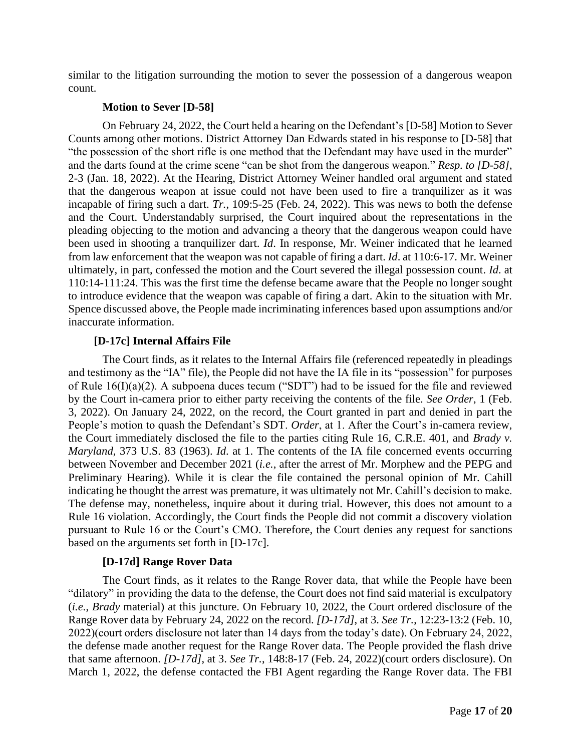similar to the litigation surrounding the motion to sever the possession of a dangerous weapon count.

#### **Motion to Sever [D-58]**

On February 24, 2022, the Court held a hearing on the Defendant's [D-58] Motion to Sever Counts among other motions. District Attorney Dan Edwards stated in his response to [D-58] that "the possession of the short rifle is one method that the Defendant may have used in the murder" and the darts found at the crime scene "can be shot from the dangerous weapon." *Resp. to [D-58]*, 2-3 (Jan. 18, 2022). At the Hearing, District Attorney Weiner handled oral argument and stated that the dangerous weapon at issue could not have been used to fire a tranquilizer as it was incapable of firing such a dart. *Tr.*, 109:5-25 (Feb. 24, 2022). This was news to both the defense and the Court. Understandably surprised, the Court inquired about the representations in the pleading objecting to the motion and advancing a theory that the dangerous weapon could have been used in shooting a tranquilizer dart. *Id*. In response, Mr. Weiner indicated that he learned from law enforcement that the weapon was not capable of firing a dart. *Id*. at 110:6-17. Mr. Weiner ultimately, in part, confessed the motion and the Court severed the illegal possession count. *Id*. at 110:14-111:24. This was the first time the defense became aware that the People no longer sought to introduce evidence that the weapon was capable of firing a dart. Akin to the situation with Mr. Spence discussed above, the People made incriminating inferences based upon assumptions and/or inaccurate information.

## **[D-17c] Internal Affairs File**

The Court finds, as it relates to the Internal Affairs file (referenced repeatedly in pleadings and testimony as the "IA" file), the People did not have the IA file in its "possession" for purposes of Rule 16(I)(a)(2). A subpoena duces tecum ("SDT") had to be issued for the file and reviewed by the Court in-camera prior to either party receiving the contents of the file. *See Order*, 1 (Feb. 3, 2022). On January 24, 2022, on the record, the Court granted in part and denied in part the People's motion to quash the Defendant's SDT. *Order*, at 1. After the Court's in-camera review, the Court immediately disclosed the file to the parties citing Rule 16, C.R.E. 401, and *Brady v. Maryland*, 373 U.S. 83 (1963). *Id*. at 1. The contents of the IA file concerned events occurring between November and December 2021 (*i.e.*, after the arrest of Mr. Morphew and the PEPG and Preliminary Hearing). While it is clear the file contained the personal opinion of Mr. Cahill indicating he thought the arrest was premature, it was ultimately not Mr. Cahill's decision to make. The defense may, nonetheless, inquire about it during trial. However, this does not amount to a Rule 16 violation. Accordingly, the Court finds the People did not commit a discovery violation pursuant to Rule 16 or the Court's CMO. Therefore, the Court denies any request for sanctions based on the arguments set forth in [D-17c].

## **[D-17d] Range Rover Data**

The Court finds, as it relates to the Range Rover data, that while the People have been "dilatory" in providing the data to the defense, the Court does not find said material is exculpatory (*i.e.*, *Brady* material) at this juncture. On February 10, 2022, the Court ordered disclosure of the Range Rover data by February 24, 2022 on the record. *[D-17d]*, at 3. *See Tr.*, 12:23-13:2 (Feb. 10, 2022)(court orders disclosure not later than 14 days from the today's date). On February 24, 2022, the defense made another request for the Range Rover data. The People provided the flash drive that same afternoon. *[D-17d]*, at 3. *See Tr.*, 148:8-17 (Feb. 24, 2022)(court orders disclosure). On March 1, 2022, the defense contacted the FBI Agent regarding the Range Rover data. The FBI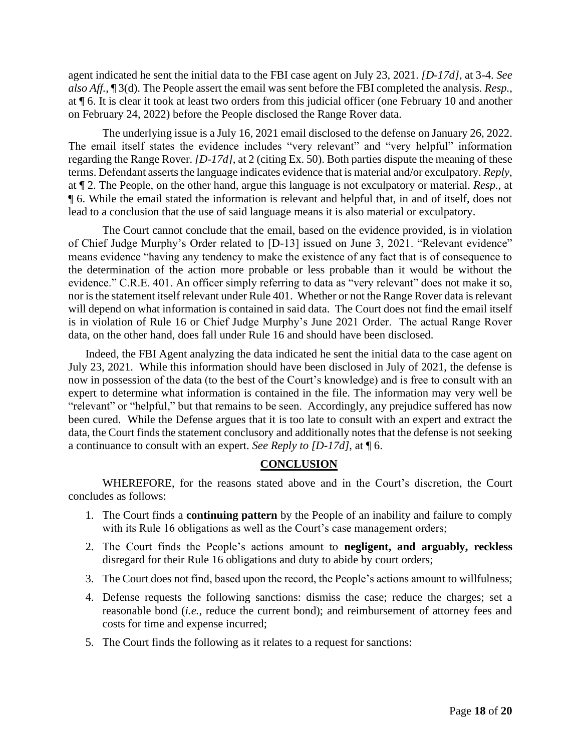agent indicated he sent the initial data to the FBI case agent on July 23, 2021. *[D-17d]*, at 3-4. *See also Aff.*, ¶ 3(d). The People assert the email was sent before the FBI completed the analysis. *Resp.*, at ¶ 6. It is clear it took at least two orders from this judicial officer (one February 10 and another on February 24, 2022) before the People disclosed the Range Rover data.

The underlying issue is a July 16, 2021 email disclosed to the defense on January 26, 2022. The email itself states the evidence includes "very relevant" and "very helpful" information regarding the Range Rover. *[D-17d]*, at 2 (citing Ex. 50). Both parties dispute the meaning of these terms. Defendant asserts the language indicates evidence that is material and/or exculpatory. *Reply*, at ¶ 2. The People, on the other hand, argue this language is not exculpatory or material. *Resp.*, at ¶ 6. While the email stated the information is relevant and helpful that, in and of itself, does not lead to a conclusion that the use of said language means it is also material or exculpatory.

The Court cannot conclude that the email, based on the evidence provided, is in violation of Chief Judge Murphy's Order related to [D-13] issued on June 3, 2021. "Relevant evidence" means evidence "having any tendency to make the existence of any fact that is of consequence to the determination of the action more probable or less probable than it would be without the evidence." C.R.E. 401. An officer simply referring to data as "very relevant" does not make it so, nor is the statement itself relevant under Rule 401. Whether or not the Range Rover data is relevant will depend on what information is contained in said data. The Court does not find the email itself is in violation of Rule 16 or Chief Judge Murphy's June 2021 Order. The actual Range Rover data, on the other hand, does fall under Rule 16 and should have been disclosed.

Indeed, the FBI Agent analyzing the data indicated he sent the initial data to the case agent on July 23, 2021. While this information should have been disclosed in July of 2021, the defense is now in possession of the data (to the best of the Court's knowledge) and is free to consult with an expert to determine what information is contained in the file. The information may very well be "relevant" or "helpful," but that remains to be seen. Accordingly, any prejudice suffered has now been cured. While the Defense argues that it is too late to consult with an expert and extract the data, the Court finds the statement conclusory and additionally notes that the defense is not seeking a continuance to consult with an expert. *See Reply to [D-17d]*, at ¶ 6.

# **CONCLUSION**

WHEREFORE, for the reasons stated above and in the Court's discretion, the Court concludes as follows:

- 1. The Court finds a **continuing pattern** by the People of an inability and failure to comply with its Rule 16 obligations as well as the Court's case management orders;
- 2. The Court finds the People's actions amount to **negligent, and arguably, reckless**  disregard for their Rule 16 obligations and duty to abide by court orders;
- 3. The Court does not find, based upon the record, the People's actions amount to willfulness;
- 4. Defense requests the following sanctions: dismiss the case; reduce the charges; set a reasonable bond (*i.e.*, reduce the current bond); and reimbursement of attorney fees and costs for time and expense incurred;
- 5. The Court finds the following as it relates to a request for sanctions: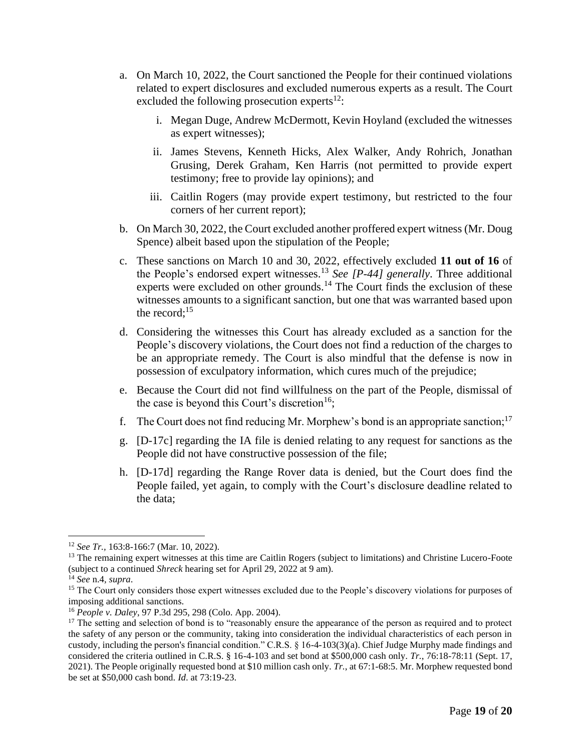- a. On March 10, 2022, the Court sanctioned the People for their continued violations related to expert disclosures and excluded numerous experts as a result. The Court excluded the following prosecution experts $12$ :
	- i. Megan Duge, Andrew McDermott, Kevin Hoyland (excluded the witnesses as expert witnesses);
	- ii. James Stevens, Kenneth Hicks, Alex Walker, Andy Rohrich, Jonathan Grusing, Derek Graham, Ken Harris (not permitted to provide expert testimony; free to provide lay opinions); and
	- iii. Caitlin Rogers (may provide expert testimony, but restricted to the four corners of her current report);
- b. On March 30, 2022, the Court excluded another proffered expert witness (Mr. Doug Spence) albeit based upon the stipulation of the People;
- c. These sanctions on March 10 and 30, 2022, effectively excluded **11 out of 16** of the People's endorsed expert witnesses.<sup>13</sup> *See [P-44] generally*. Three additional experts were excluded on other grounds.<sup>14</sup> The Court finds the exclusion of these witnesses amounts to a significant sanction, but one that was warranted based upon the record;<sup>15</sup>
- d. Considering the witnesses this Court has already excluded as a sanction for the People's discovery violations, the Court does not find a reduction of the charges to be an appropriate remedy. The Court is also mindful that the defense is now in possession of exculpatory information, which cures much of the prejudice;
- e. Because the Court did not find willfulness on the part of the People, dismissal of the case is beyond this Court's discretion<sup>16</sup>:
- f. The Court does not find reducing Mr. Morphew's bond is an appropriate sanction;<sup>17</sup>
- g. [D-17c] regarding the IA file is denied relating to any request for sanctions as the People did not have constructive possession of the file;
- h. [D-17d] regarding the Range Rover data is denied, but the Court does find the People failed, yet again, to comply with the Court's disclosure deadline related to the data;

<sup>12</sup> *See Tr.,* 163:8-166:7 (Mar. 10, 2022).

<sup>&</sup>lt;sup>13</sup> The remaining expert witnesses at this time are Caitlin Rogers (subject to limitations) and Christine Lucero-Foote (subject to a continued *Shreck* hearing set for April 29, 2022 at 9 am).

<sup>14</sup> *See* n.4*, supra*.

<sup>&</sup>lt;sup>15</sup> The Court only considers those expert witnesses excluded due to the People's discovery violations for purposes of imposing additional sanctions.

<sup>16</sup> *People v. Daley*, 97 P.3d 295, 298 (Colo. App. 2004).

<sup>&</sup>lt;sup>17</sup> The setting and selection of bond is to "reasonably ensure the appearance of the person as required and to protect the safety of any person or the community, taking into consideration the individual characteristics of each person in custody, including the person's financial condition." C.R.S. § 16-4-103(3)(a). Chief Judge Murphy made findings and considered the criteria outlined in C.R.S. § 16-4-103 and set bond at \$500,000 cash only. *Tr.*, 76:18-78:11 (Sept. 17, 2021). The People originally requested bond at \$10 million cash only. *Tr.*, at 67:1-68:5. Mr. Morphew requested bond be set at \$50,000 cash bond. *Id*. at 73:19-23.